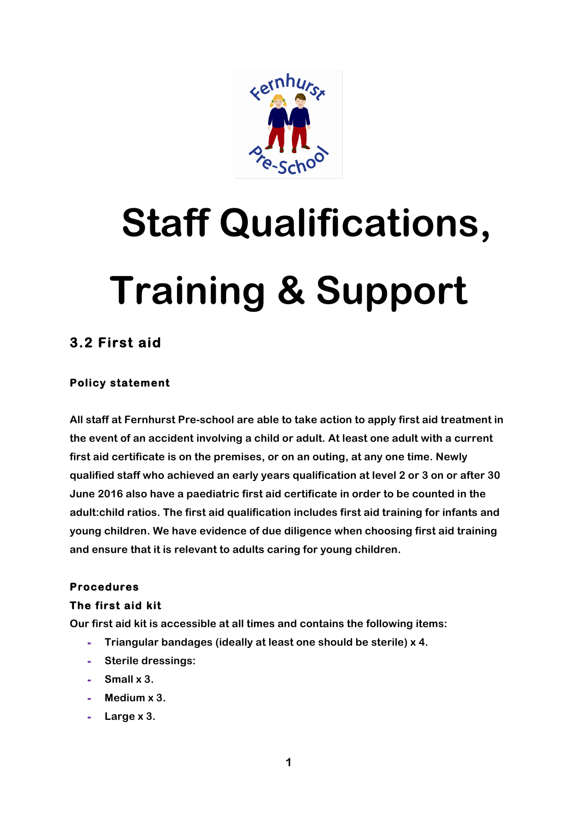

# **Staff Qualifications, Training & Support**

# **3.2 First aid**

## **Policy statement**

**All staff at Fernhurst Pre-school are able to take action to apply first aid treatment in the event of an accident involving a child or adult. At least one adult with a current first aid certificate is on the premises, or on an outing, at any one time. Newly qualified staff who achieved an early years qualification at level 2 or 3 on or after 30 June 2016 also have a paediatric first aid certificate in order to be counted in the adult:child ratios. The first aid qualification includes first aid training for infants and young children. We have evidence of due diligence when choosing first aid training and ensure that it is relevant to adults caring for young children.**

### **Procedures**

#### **The first aid kit**

**Our first aid kit is accessible at all times and contains the following items:**

- **- Triangular bandages (ideally at least one should be sterile) x 4.**
- **- Sterile dressings:**
- **- Small x 3.**
- **- Medium x 3.**
- **- Large x 3.**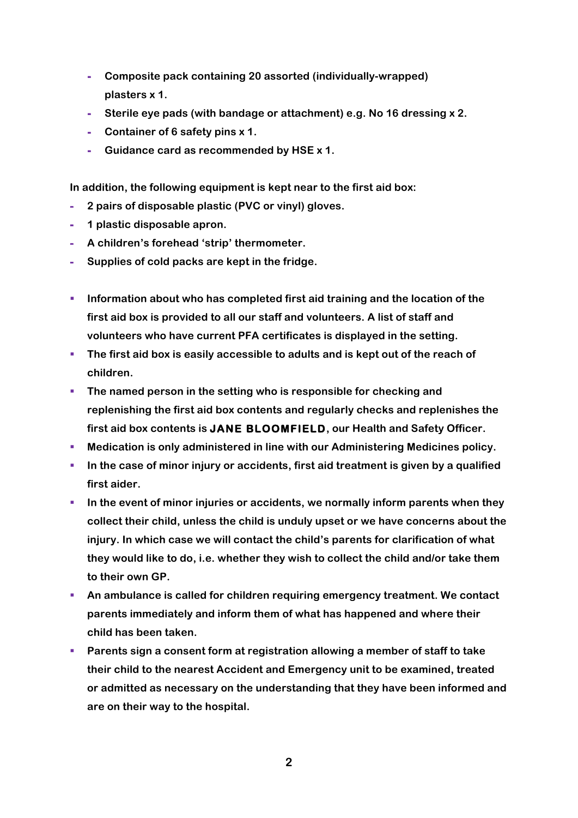- **- Composite pack containing 20 assorted (individually-wrapped) plasters x 1.**
- **- Sterile eye pads (with bandage or attachment) e.g. No 16 dressing x 2.**
- **- Container of 6 safety pins x 1.**
- **- Guidance card as recommended by HSE x 1.**

**In addition, the following equipment is kept near to the first aid box:**

- **- 2 pairs of disposable plastic (PVC or vinyl) gloves.**
- **- 1 plastic disposable apron.**
- **- A children's forehead 'strip' thermometer.**
- **- Supplies of cold packs are kept in the fridge.**
- § **Information about who has completed first aid training and the location of the first aid box is provided to all our staff and volunteers. A list of staff and volunteers who have current PFA certificates is displayed in the setting.**
- **The first aid box is easily accessible to adults and is kept out of the reach of children.**
- § **The named person in the setting who is responsible for checking and replenishing the first aid box contents and regularly checks and replenishes the first aid box contents is JANE BLOOMFIELD, our Health and Safety Officer.**
- § **Medication is only administered in line with our Administering Medicines policy.**
- § **In the case of minor injury or accidents, first aid treatment is given by a qualified first aider.**
- § **In the event of minor injuries or accidents, we normally inform parents when they collect their child, unless the child is unduly upset or we have concerns about the injury. In which case we will contact the child's parents for clarification of what they would like to do, i.e. whether they wish to collect the child and/or take them to their own GP.**
- § **An ambulance is called for children requiring emergency treatment. We contact parents immediately and inform them of what has happened and where their child has been taken.**
- § **Parents sign a consent form at registration allowing a member of staff to take their child to the nearest Accident and Emergency unit to be examined, treated or admitted as necessary on the understanding that they have been informed and are on their way to the hospital.**